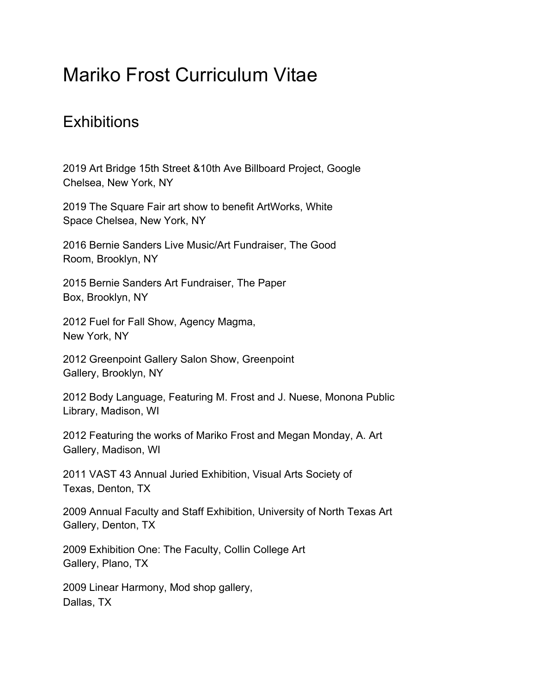## Mariko Frost Curriculum Vitae

## **Exhibitions**

2019 Art Bridge 15th Street &10th Ave Billboard Project, Google Chelsea, New York, NY

2019 The Square Fair art show to benefit ArtWorks, White Space Chelsea, New York, NY

2016 Bernie Sanders Live Music/Art Fundraiser, The Good Room, Brooklyn, NY

2015 Bernie Sanders Art Fundraiser, The Paper Box, Brooklyn, NY

2012 Fuel for Fall Show, Agency Magma, New York, NY

2012 Greenpoint Gallery Salon Show, Greenpoint Gallery, Brooklyn, NY

2012 Body Language, Featuring M. Frost and J. Nuese, Monona Public Library, Madison, WI

2012 Featuring the works of Mariko Frost and Megan Monday, A. Art Gallery, Madison, WI

2011 VAST 43 Annual Juried Exhibition, Visual Arts Society of Texas, Denton, TX

2009 Annual Faculty and Staff Exhibition, University of North Texas Art Gallery, Denton, TX

2009 Exhibition One: The Faculty, Collin College Art Gallery, Plano, TX

2009 Linear Harmony, Mod shop gallery, Dallas, TX